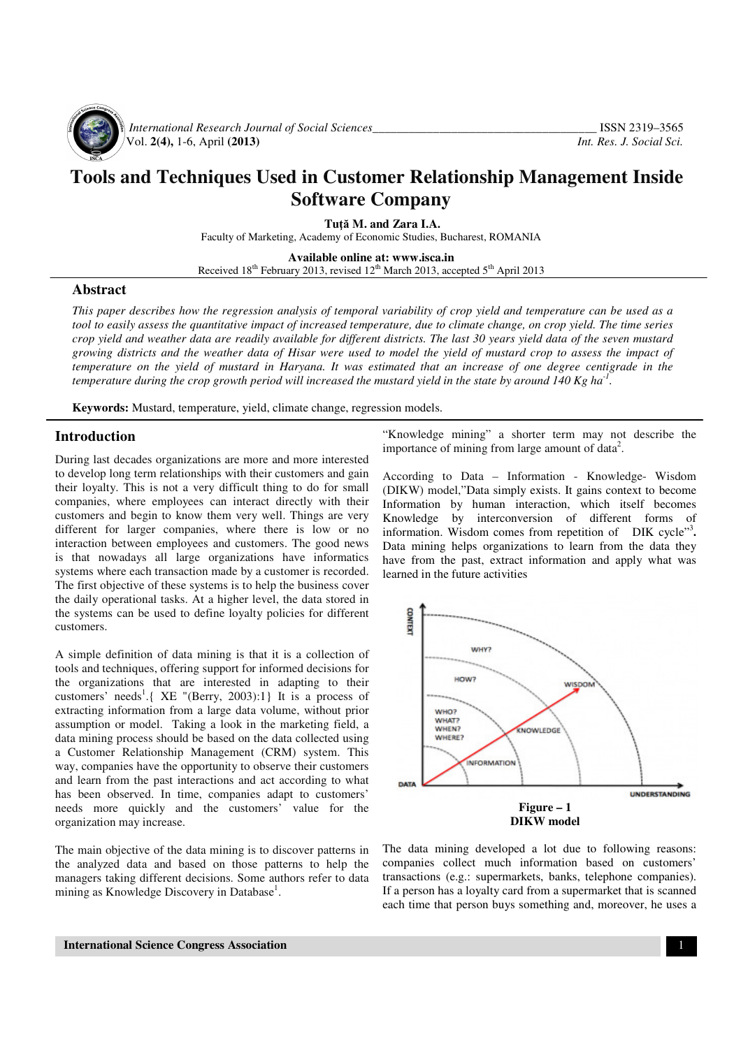

*International Research Journal of Social Sciences*<br>Vol. 2(4), 1-6, April (2013) *Int. Res. J. Social Sci.* Vol. **2(4),** 1-6, April **(2013)** *Int. Res. J. Social Sci.*

# **Tools and Techniques Used in Customer Relationship Management Inside Software Company**

**Tu**ţă **M. and Zara I.A.** 

Faculty of Marketing, Academy of Economic Studies, Bucharest, ROMANIA

**Available online at: www.isca.in**  Received 18<sup>th</sup> February 2013, revised 12<sup>th</sup> March 2013, accepted 5<sup>th</sup> April 2013

#### **Abstract**

*This paper describes how the regression analysis of temporal variability of crop yield and temperature can be used as a tool to easily assess the quantitative impact of increased temperature, due to climate change, on crop yield. The time series crop yield and weather data are readily available for different districts. The last 30 years yield data of the seven mustard growing districts and the weather data of Hisar were used to model the yield of mustard crop to assess the impact of temperature on the yield of mustard in Haryana. It was estimated that an increase of one degree centigrade in the temperature during the crop growth period will increased the mustard yield in the state by around 140 Kg ha-1 .*

**Keywords:** Mustard, temperature, yield, climate change, regression models.

#### **Introduction**

During last decades organizations are more and more interested to develop long term relationships with their customers and gain their loyalty. This is not a very difficult thing to do for small companies, where employees can interact directly with their customers and begin to know them very well. Things are very different for larger companies, where there is low or no interaction between employees and customers. The good news is that nowadays all large organizations have informatics systems where each transaction made by a customer is recorded. The first objective of these systems is to help the business cover the daily operational tasks. At a higher level, the data stored in the systems can be used to define loyalty policies for different customers.

A simple definition of data mining is that it is a collection of tools and techniques, offering support for informed decisions for the organizations that are interested in adapting to their customers' needs<sup>1</sup>.{ XE "(Berry, 2003):1} It is a process of extracting information from a large data volume, without prior assumption or model. Taking a look in the marketing field, a data mining process should be based on the data collected using a Customer Relationship Management (CRM) system. This way, companies have the opportunity to observe their customers and learn from the past interactions and act according to what has been observed. In time, companies adapt to customers' needs more quickly and the customers' value for the organization may increase.

The main objective of the data mining is to discover patterns in the analyzed data and based on those patterns to help the managers taking different decisions. Some authors refer to data mining as Knowledge Discovery in Database<sup>1</sup>.

"Knowledge mining" a shorter term may not describe the importance of mining from large amount of data<sup>2</sup>.

According to Data – Information - Knowledge- Wisdom (DIKW) model,"Data simply exists. It gains context to become Information by human interaction, which itself becomes Knowledge by interconversion of different forms of information. Wisdom comes from repetition of DIK cycle"<sup>3</sup>. Data mining helps organizations to learn from the data they have from the past, extract information and apply what was learned in the future activities



The data mining developed a lot due to following reasons: companies collect much information based on customers' transactions (e.g.: supermarkets, banks, telephone companies). If a person has a loyalty card from a supermarket that is scanned each time that person buys something and, moreover, he uses a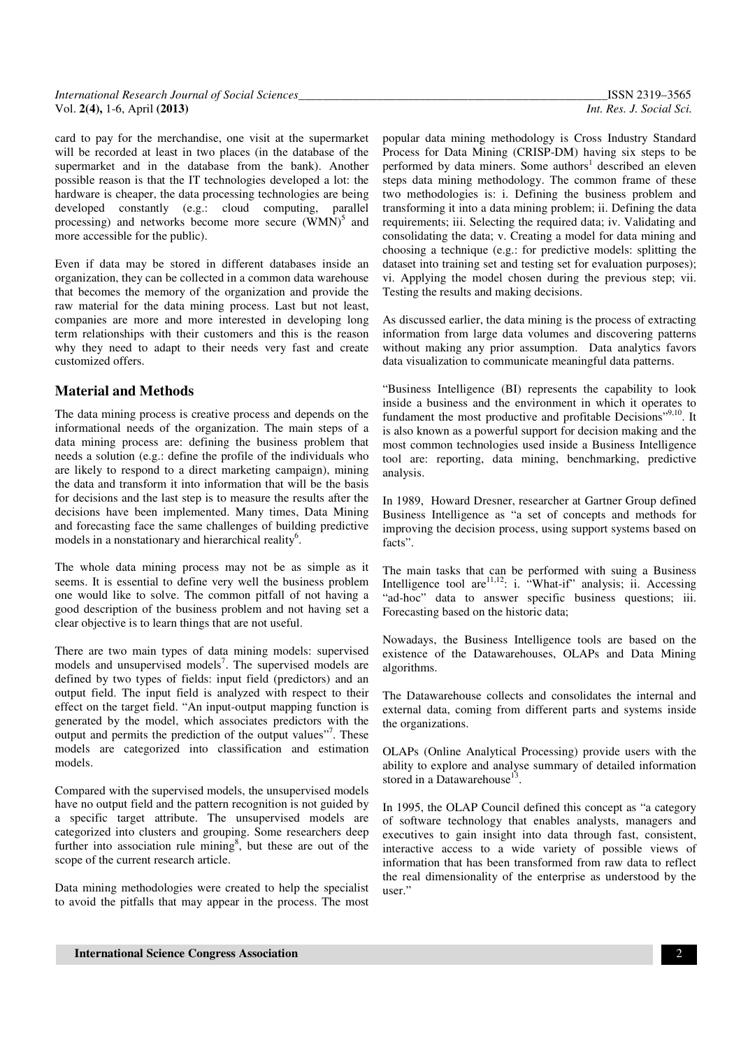| International Research Journal of Social Sciences |  |
|---------------------------------------------------|--|
| Vol. $2(4)$ , 1-6, April $(2013)$                 |  |

card to pay for the merchandise, one visit at the supermarket will be recorded at least in two places (in the database of the supermarket and in the database from the bank). Another possible reason is that the IT technologies developed a lot: the hardware is cheaper, the data processing technologies are being developed constantly (e.g.: cloud computing, parallel processing) and networks become more secure  $(WMN)^5$  and more accessible for the public).

Even if data may be stored in different databases inside an organization, they can be collected in a common data warehouse that becomes the memory of the organization and provide the raw material for the data mining process. Last but not least, companies are more and more interested in developing long term relationships with their customers and this is the reason why they need to adapt to their needs very fast and create customized offers.

## **Material and Methods**

The data mining process is creative process and depends on the informational needs of the organization. The main steps of a data mining process are: defining the business problem that needs a solution (e.g.: define the profile of the individuals who are likely to respond to a direct marketing campaign), mining the data and transform it into information that will be the basis for decisions and the last step is to measure the results after the decisions have been implemented. Many times, Data Mining and forecasting face the same challenges of building predictive models in a nonstationary and hierarchical reality<sup>6</sup>.

The whole data mining process may not be as simple as it seems. It is essential to define very well the business problem one would like to solve. The common pitfall of not having a good description of the business problem and not having set a clear objective is to learn things that are not useful.

There are two main types of data mining models: supervised models and unsupervised models<sup>7</sup>. The supervised models are defined by two types of fields: input field (predictors) and an output field. The input field is analyzed with respect to their effect on the target field. "An input-output mapping function is generated by the model, which associates predictors with the output and permits the prediction of the output values"<sup>7</sup>. These models are categorized into classification and estimation models.

Compared with the supervised models, the unsupervised models have no output field and the pattern recognition is not guided by a specific target attribute. The unsupervised models are categorized into clusters and grouping. Some researchers deep further into association rule mining<sup>8</sup>, but these are out of the scope of the current research article.

Data mining methodologies were created to help the specialist to avoid the pitfalls that may appear in the process. The most popular data mining methodology is Cross Industry Standard Process for Data Mining (CRISP-DM) having six steps to be performed by data miners. Some authors<sup>1</sup> described an eleven steps data mining methodology. The common frame of these two methodologies is: i. Defining the business problem and transforming it into a data mining problem; ii. Defining the data requirements; iii. Selecting the required data; iv. Validating and consolidating the data; v. Creating a model for data mining and choosing a technique (e.g.: for predictive models: splitting the dataset into training set and testing set for evaluation purposes); vi. Applying the model chosen during the previous step; vii. Testing the results and making decisions.

As discussed earlier, the data mining is the process of extracting information from large data volumes and discovering patterns without making any prior assumption. Data analytics favors data visualization to communicate meaningful data patterns.

"Business Intelligence (BI) represents the capability to look inside a business and the environment in which it operates to fundament the most productive and profitable Decisions", 9,10. It is also known as a powerful support for decision making and the most common technologies used inside a Business Intelligence tool are: reporting, data mining, benchmarking, predictive analysis.

In 1989, Howard Dresner, researcher at Gartner Group defined Business Intelligence as "a set of concepts and methods for improving the decision process, using support systems based on facts".

The main tasks that can be performed with suing a Business Intelligence tool are  $11,12$ : i. "What-if" analysis; ii. Accessing "ad-hoc" data to answer specific business questions; iii. Forecasting based on the historic data;

Nowadays, the Business Intelligence tools are based on the existence of the Datawarehouses, OLAPs and Data Mining algorithms.

The Datawarehouse collects and consolidates the internal and external data, coming from different parts and systems inside the organizations.

OLAPs (Online Analytical Processing) provide users with the ability to explore and analyse summary of detailed information stored in a Datawarehouse<sup>13</sup>.

In 1995, the OLAP Council defined this concept as "a category of software technology that enables analysts, managers and executives to gain insight into data through fast, consistent, interactive access to a wide variety of possible views of information that has been transformed from raw data to reflect the real dimensionality of the enterprise as understood by the user."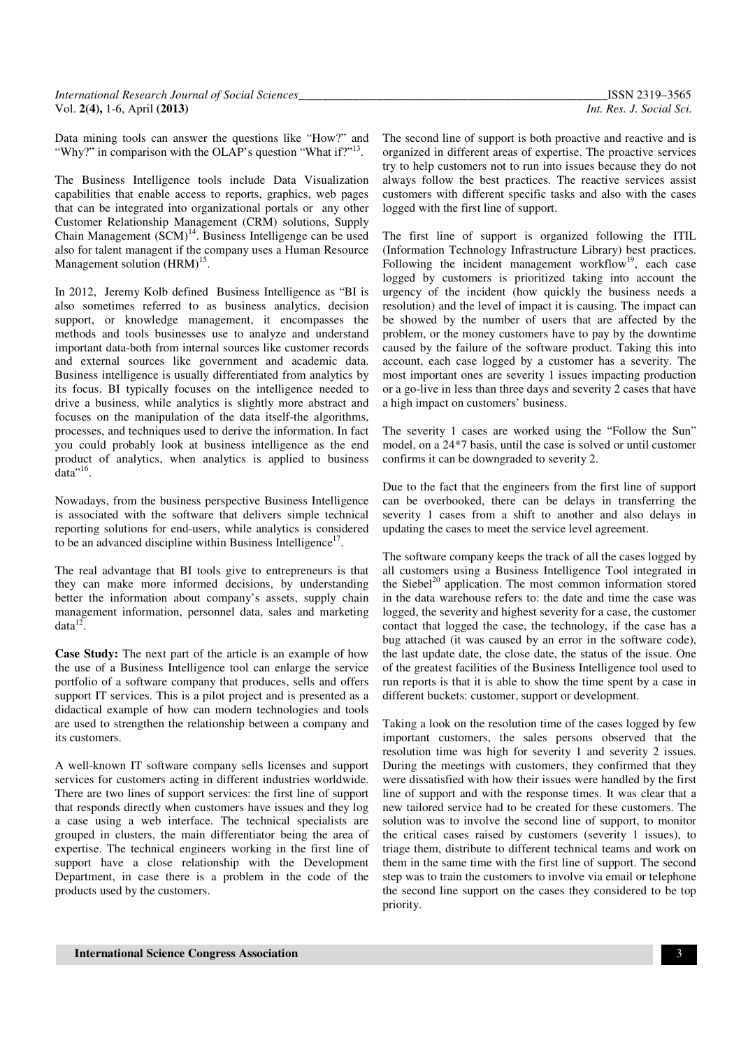Data mining tools can answer the questions like "How?" and "Why?" in comparison with the OLAP's question "What if?"<sup>13</sup>.

The Business Intelligence tools include Data Visualization capabilities that enable access to reports, graphics, web pages that can be integrated into organizational portals or any other Customer Relationship Management (CRM) solutions, Supply Chain Management (SCM)<sup>14</sup>. Business Intelligenge can be used also for talent managent if the company uses a Human Resource Management solution  $(HRM)^{15}$ .

In 2012, Jeremy Kolb defined Business Intelligence as "BI is also sometimes referred to as business analytics, decision support, or knowledge management, it encompasses the methods and tools businesses use to analyze and understand important data-both from internal sources like customer records and external sources like government and academic data. Business intelligence is usually differentiated from analytics by its focus. BI typically focuses on the intelligence needed to drive a business, while analytics is slightly more abstract and focuses on the manipulation of the data itself-the algorithms, processes, and techniques used to derive the information. In fact you could probably look at business intelligence as the end product of analytics, when analytics is applied to business  $data$ <sup> $,16$ </sup>.

Nowadays, from the business perspective Business Intelligence is associated with the software that delivers simple technical reporting solutions for end-users, while analytics is considered to be an advanced discipline within Business Intelligence $17$ .

The real advantage that BI tools give to entrepreneurs is that they can make more informed decisions, by understanding better the information about company's assets, supply chain management information, personnel data, sales and marketing  $data^{12}$ .

**Case Study:** The next part of the article is an example of how the use of a Business Intelligence tool can enlarge the service portfolio of a software company that produces, sells and offers support IT services. This is a pilot project and is presented as a didactical example of how can modern technologies and tools are used to strengthen the relationship between a company and its customers.

A well-known IT software company sells licenses and support services for customers acting in different industries worldwide. There are two lines of support services: the first line of support that responds directly when customers have issues and they log a case using a web interface. The technical specialists are grouped in clusters, the main differentiator being the area of expertise. The technical engineers working in the first line of support have a close relationship with the Development Department, in case there is a problem in the code of the products used by the customers.

The second line of support is both proactive and reactive and is organized in different areas of expertise. The proactive services try to help customers not to run into issues because they do not always follow the best practices. The reactive services assist customers with different specific tasks and also with the cases logged with the first line of support.

The first line of support is organized following the ITIL (Information Technology Infrastructure Library) best practices. Following the incident management workflow<sup>19</sup>, each case logged by customers is prioritized taking into account the urgency of the incident (how quickly the business needs a resolution) and the level of impact it is causing. The impact can be showed by the number of users that are affected by the problem, or the money customers have to pay by the downtime caused by the failure of the software product. Taking this into account, each case logged by a customer has a severity. The most important ones are severity 1 issues impacting production or a go-live in less than three days and severity 2 cases that have a high impact on customers' business.

The severity 1 cases are worked using the "Follow the Sun" model, on a 24\*7 basis, until the case is solved or until customer confirms it can be downgraded to severity 2.

Due to the fact that the engineers from the first line of support can be overbooked, there can be delays in transferring the severity 1 cases from a shift to another and also delays in updating the cases to meet the service level agreement.

The software company keeps the track of all the cases logged by all customers using a Business Intelligence Tool integrated in the Siebel<sup>20</sup> application. The most common information stored in the data warehouse refers to: the date and time the case was logged, the severity and highest severity for a case, the customer contact that logged the case, the technology, if the case has a bug attached (it was caused by an error in the software code), the last update date, the close date, the status of the issue. One of the greatest facilities of the Business Intelligence tool used to run reports is that it is able to show the time spent by a case in different buckets: customer, support or development.

Taking a look on the resolution time of the cases logged by few important customers, the sales persons observed that the resolution time was high for severity 1 and severity 2 issues. During the meetings with customers, they confirmed that they were dissatisfied with how their issues were handled by the first line of support and with the response times. It was clear that a new tailored service had to be created for these customers. The solution was to involve the second line of support, to monitor the critical cases raised by customers (severity 1 issues), to triage them, distribute to different technical teams and work on them in the same time with the first line of support. The second step was to train the customers to involve via email or telephone the second line support on the cases they considered to be top priority.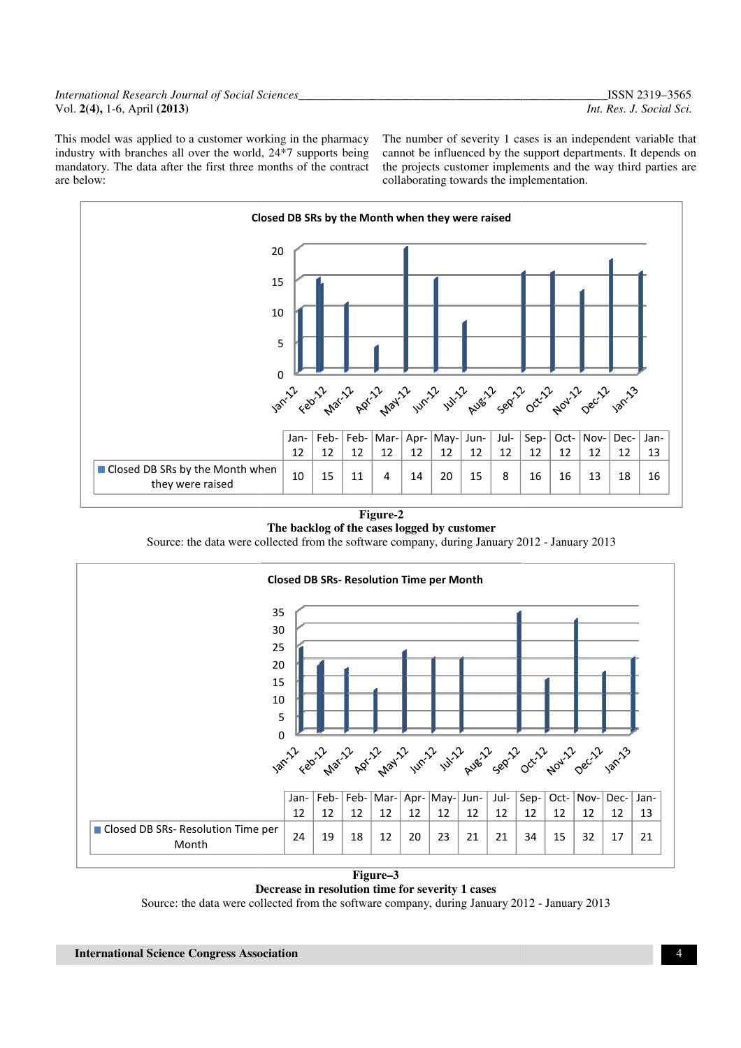#### *International Research Journal of Social Sciences\_\_ Sciences\_\_\_\_\_\_\_\_\_\_\_\_\_\_\_\_\_\_\_\_\_\_\_\_\_\_\_\_\_\_\_\_\_\_\_\_\_\_\_\_* Vol. **2(4),** 1-6, April **(2013)**

This model was applied to a customer working in the pharmacy industry with branches all over the world, 24\*7 supports being mandatory. The data after the first three months of the contract are below:

The number of severity 1 cases is an independent variable that cannot be influenced by the support departments. It depends on the projects customer implements and the way third parties are collaborating towards the implementation. 1 cases is an independent variable that<br>the support departments. It depends on<br>plements and the way third parties are



**Figure-2 The backlog of the cases logged by customer** 

Source: the data were collected from the software company, during January 2012 - January 2013



**Decrease in resolution time for severity 1 cases**  Source: the data were collected from the software company, during January 2012 - January 2013 **Figure–3**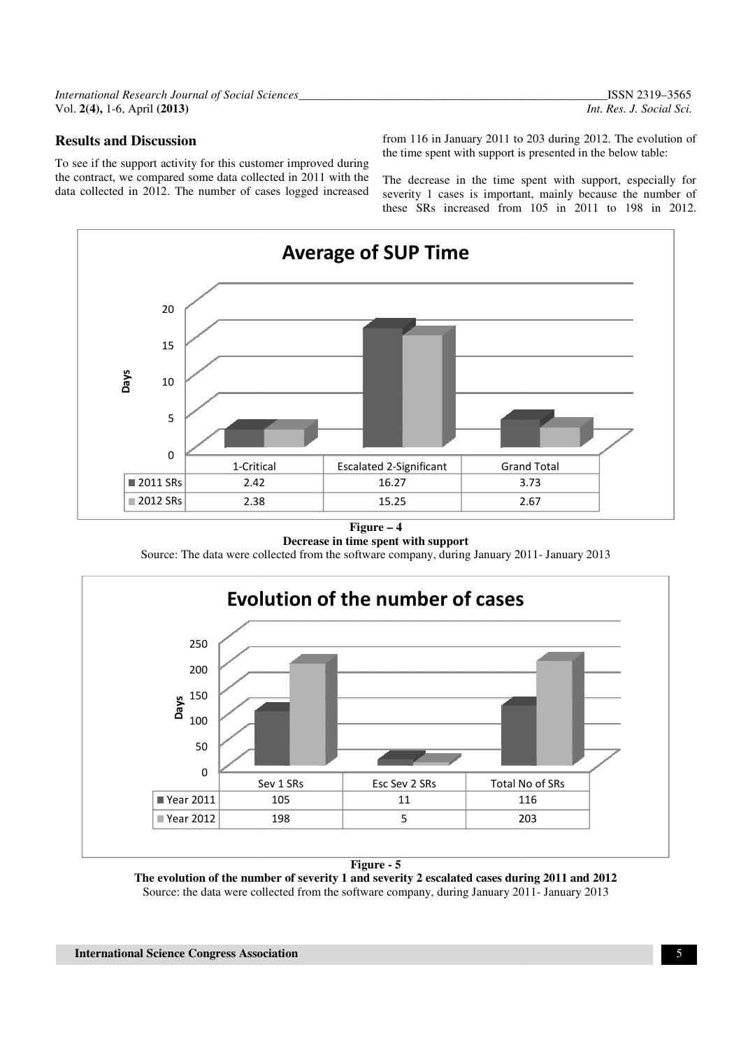*International Research Journal of Social Sciences\_\_ Sciences\_\_\_\_\_\_\_\_\_\_\_\_\_\_\_\_\_\_\_\_\_\_\_\_\_\_\_\_\_\_\_\_\_\_\_\_\_\_\_\_* Vol. **2(4),** 1-6, April **(2013)** 

#### **Results and Discussion**

To see if the support activity for this customer improved during **Results and Discussion** from 116 in January 2011 to 203 during 2012.<br>To see if the support activity for this customer improved during the contract, we compared some data collected in 2011 with the The decrease in the time data collected in 2012. The number of cases logged increased

the time spent with support is presented in the below table: from 116 in January 2011 to 203 during 2012. The evolution of

The decrease in the time spent with support, especially for severity 1 cases is important, mainly because the number of these SRs increased from 105 in 2011 to 198 in 2012.



#### **Figure – 4**

**Decrease in time spent with support** 

Source: The data were collected from the software company, during January 2011



**Figure - 5** 

**The evolution of the number of severity 1 and severity 2 escalated cases during 2011 and 2012** Source: the data were collected from the software company, during January 2011- January 2013